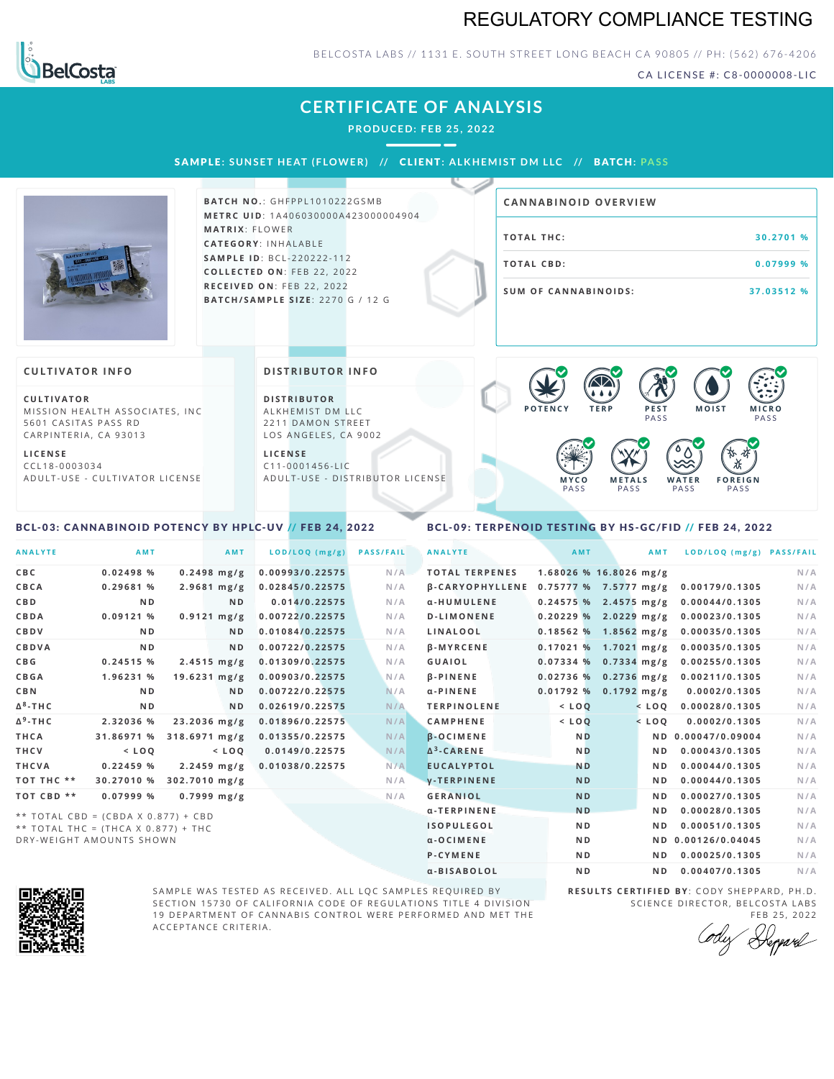## REGULATORY COMPLIANCE TESTING



### BELCOSTA LABS // 1131 E. SOUTH STREET LONG BEACH C A 90805 // PH: (562) 676-4206

CA LICENSE #: C8-0000008-LIC

| <b>CERTIFICATE OF ANALYSIS</b><br><b>PRODUCED: FEB 25, 2022</b><br>SAMPLE: SUNSET HEAT (FLOWER) // CLIENT: ALKHEMIST DM LLC // BATCH: PASS                                   |                                                                                                                                                                   |                                                                                                                                                                                  |  |  |  |
|------------------------------------------------------------------------------------------------------------------------------------------------------------------------------|-------------------------------------------------------------------------------------------------------------------------------------------------------------------|----------------------------------------------------------------------------------------------------------------------------------------------------------------------------------|--|--|--|
|                                                                                                                                                                              | <b>BATCH NO.: GHFPPL1010222GSMB</b><br>METRC UID: 1A406030000A423000004904                                                                                        | <b>CANNABINOID OVERVIEW</b>                                                                                                                                                      |  |  |  |
| <b>MATRIX: FLOWER</b>                                                                                                                                                        | <b>CATEGORY: INHALABLE</b>                                                                                                                                        | <b>TOTAL THC:</b><br>30.2701 %                                                                                                                                                   |  |  |  |
|                                                                                                                                                                              | <b>SAMPLE ID: BCL-220222-112</b><br>COLLECTED ON: FEB 22, 2022                                                                                                    | <b>TOTAL CBD:</b><br>0.07999 %                                                                                                                                                   |  |  |  |
|                                                                                                                                                                              | BATCH/SAMPLE SIZE: 2270 G / 12 G                                                                                                                                  | <b>SUM OF CANNABINOIDS:</b><br>37.03512 %                                                                                                                                        |  |  |  |
| <b>CULTIVATOR INFO</b>                                                                                                                                                       | <b>DISTRIBUTOR INFO</b>                                                                                                                                           |                                                                                                                                                                                  |  |  |  |
| <b>CULTIVATOR</b><br>MISSION HEALTH ASSOCIATES, INC.<br>5601 CASITAS PASS RD<br>CARPINTERIA, CA 93013<br><b>LICENSE</b><br>$CCL18-0003034$<br>ADULT-USE - CULTIVATOR LICENSE | <b>DISTRIBUTOR</b><br>ALKHEMIST DM LLC<br>2211 DAMON STREET<br>LOS ANGELES, CA 9002<br><b>LICENSE</b><br>$C11 - 0001456 - LIC$<br>ADULT-USE - DISTRIBUTOR LICENSE | <b>POTENCY</b><br><b>TERP</b><br>PEST<br><b>MOIST</b><br><b>MICRO</b><br>PASS<br>PASS<br><b>METALS</b><br><b>FOREIGN</b><br><b>WATER</b><br>MYCO<br>PASS<br>PASS<br>PASS<br>PASS |  |  |  |

### <span id="page-0-0"></span>BCL-03: CANNABINOID POTENCY BY HPLC-UV // FEB 24, 2022

## <span id="page-0-1"></span>BCL-09: TERPENOID TESTING BY HS-GC/FID // FEB 24, 2022

| <b>ANALYTE</b>  | <b>AMT</b>                                                                   |                         | AMT                     | LOD/LOQ (mg/g)  | <b>PASS/FAIL</b> | <b>ANALYTE</b>         | AMT            | <b>AMT</b>               | LOD/LOQ (mg/g) PASS/FAIL |     |
|-----------------|------------------------------------------------------------------------------|-------------------------|-------------------------|-----------------|------------------|------------------------|----------------|--------------------------|--------------------------|-----|
| CBC             | 0.02498 %                                                                    |                         | $0.2498$ mg/g           | 0.00993/0.22575 | N/A              | <b>TOTAL TERPENES</b>  |                | $1.68026$ % 16.8026 mg/g |                          | N/A |
| CBCA            | 0.29681%                                                                     |                         | $2.9681$ mg/g           | 0.02845/0.22575 | N/A              | <b>B-CARYOPHYLLENE</b> |                | $0.75777%$ 7.5777 mg/g   | 0.00179/0.1305           | N/A |
| <b>CBD</b>      | N <sub>D</sub>                                                               |                         | <b>ND</b>               | 0.014/0.22575   | N/A              | α-HUMULENE             |                | $0.24575%$ 2.4575 mg/g   | 0.00044/0.1305           | N/A |
| CBDA            | 0.09121 %                                                                    |                         | $0.9121$ mg/g           | 0.00722/0.22575 | N/A              | <b>D-LIMONENE</b>      |                | $0.20229%$ 2.0229 mg/g   | 0.00023/0.1305           | N/A |
| CBDV            | N <sub>D</sub>                                                               |                         | N <sub>D</sub>          | 0.01084/0.22575 | N/A              | LINALOOL               |                | $0.18562$ % 1.8562 mg/g  | 0.00035/0.1305           | N/A |
| CBDVA           | N <sub>D</sub>                                                               |                         | N <sub>D</sub>          | 0.00722/0.22575 | N/A              | <b>B-MYRCENE</b>       |                | 0.17021 % 1.7021 mg/g    | 0.00035/0.1305           | N/A |
| C B G           | $0.24515$ %                                                                  |                         | $2.4515 \, \text{mg/g}$ | 0.01309/0.22575 | N/A              | GUAIOL                 | 0.07334%       | $0.7334$ mg/g            | 0.00255/0.1305           | N/A |
| CBGA            | 1.96231 %                                                                    |                         | $19.6231$ mg/g          | 0.00903/0.22575 | N/A              | <b>B-PINENE</b>        |                | $0.02736%$ 0.2736 mg/g   | 0.00211/0.1305           | N/A |
| <b>CBN</b>      | N <sub>D</sub>                                                               |                         | ND.                     | 0.00722/0.22575 | N/A              | $\alpha$ -PINENE       |                | $0.01792%$ 0.1792 mg/g   | 0.0002/0.1305            | N/A |
| $\Delta^8$ -THC | N <sub>D</sub>                                                               |                         | N <sub>D</sub>          | 0.02619/0.22575 | N/A              | <b>TERPINOLENE</b>     | $<$ LOQ        | $<$ LOO                  | 0.00028/0.1305           | N/A |
| $\Delta^9$ -THC | 2.32036 %                                                                    |                         | $23.2036$ mg/g          | 0.01896/0.22575 | N/A              | <b>CAMPHENE</b>        | $<$ LOO        | $<$ LOO                  | 0.0002/0.1305            | N/A |
| <b>THCA</b>     | 31.86971 %                                                                   | $318.6971 \text{ mg/g}$ |                         | 0.01355/0.22575 | N/A              | $\beta$ -OCIMENE       | <b>ND</b>      |                          | ND 0.00047/0.09004       | N/A |
| THCV            | $<$ LOQ                                                                      |                         | $<$ LOQ                 | 0.0149/0.22575  | N/A              | $\Delta^3$ -CARENE     | <b>ND</b>      | N <sub>D</sub>           | 0.00043/0.1305           | N/A |
| <b>THCVA</b>    | 0.22459 %                                                                    |                         | $2.2459$ mg/g           | 0.01038/0.22575 | N/A              | <b>EUCALYPTOL</b>      | <b>ND</b>      | N <sub>D</sub>           | 0.00044/0.1305           | N/A |
| TOT THC **      | 30.27010 %                                                                   | 302.7010 mg/g           |                         |                 | N/A              | <b>V-TERPINENE</b>     | <b>ND</b>      | N <sub>D</sub>           | 0.00044/0.1305           | N/A |
| TOT CBD **      | 0.07999 %                                                                    |                         | $0.7999 \; mg/g$        |                 | N/A              | <b>GERANIOL</b>        | <b>ND</b>      | N <sub>D</sub>           | 0.00027/0.1305           | N/A |
|                 |                                                                              |                         |                         |                 |                  | α-TERPINENE            | <b>ND</b>      | N <sub>D</sub>           | 0.00028/0.1305           | N/A |
|                 | ** TOTAL CBD = (CBDA X 0.877) + CBD<br>** TOTAL THC = $(THCA X 0.877) + THC$ |                         |                         |                 |                  | <b>ISOPULEGOL</b>      | <b>ND</b>      | N <sub>D</sub>           | 0.00051/0.1305           | N/A |
|                 | DRY-WEIGHT AMOUNTS SHOWN                                                     |                         |                         |                 |                  | $\alpha$ -OCIMENE      | N <sub>D</sub> |                          | ND 0.00126/0.04045       | N/A |
|                 |                                                                              |                         |                         |                 |                  | P-CYMENE               | N <sub>D</sub> | N <sub>D</sub>           | 0.00025/0.1305           | N/A |



SAMPLE WAS TESTED AS RECEIVED. ALL LQC SAMPLES REQUIRED BY SECTION 15730 OF CALIFORNIA CODE OF REGULATIONS TITLE 4 DIVISION 19 DEPARTMENT OF CANNABIS CONTROL WERE PERFORMED AND MET THE A C C E P T A N C E C R I T E R I A.

**R E S U L T S C E R T I F I E D BY** : C O D Y S H E P P A R D ,P H .D . SCIENCE DIRECTOR, BELCOSTA LABS

α-BISABOLOL **ND ND 0.00407/0.1305** N/A

FEB 25, 2022<br>Repparel Cody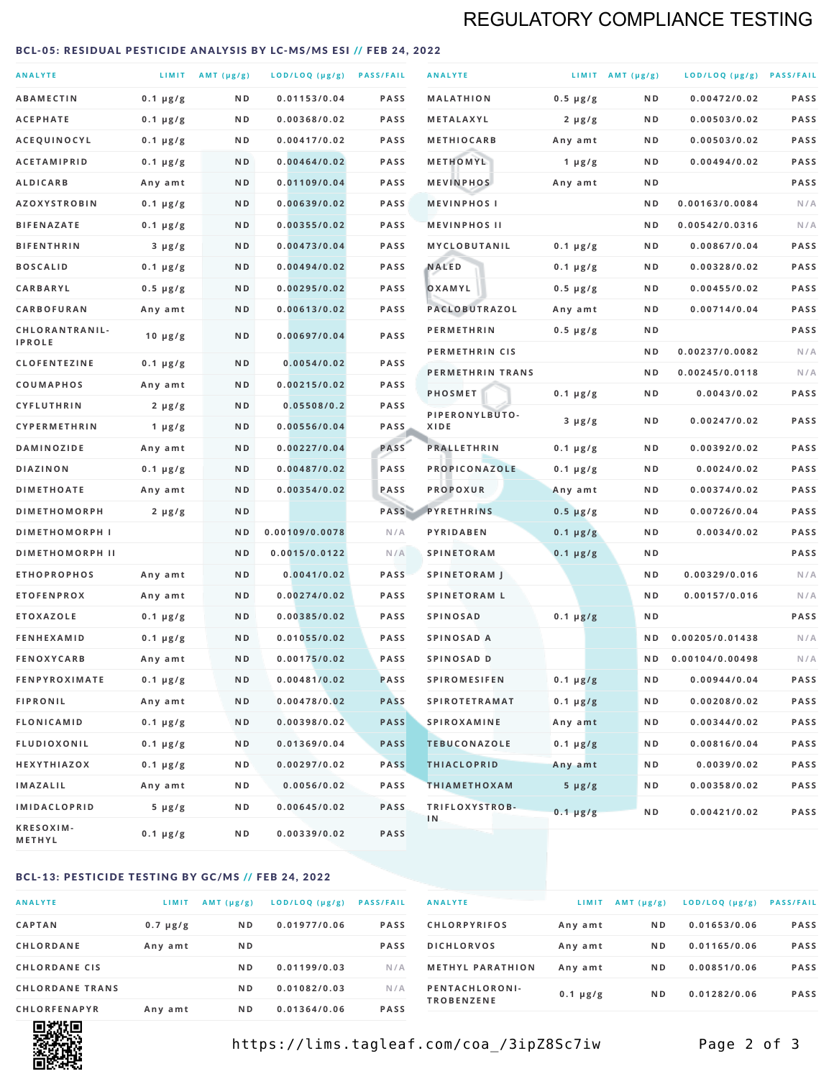# REGULATORY COMPLIANCE TESTING

#### <span id="page-1-0"></span>BCL-05: RESIDUAL PESTICIDE ANALYSIS BY LC-MS/MS ESI // FEB 24, 2022

| <b>ANALYTE</b>                          |                    | LIMIT AMT (µg/g) | LOD/LOQ (µg/g) PASS/FAIL    |                     | <b>ANALYTE</b>                             |                          | LIMIT AMT $(\mu g/g)$ | LOD/LOQ (µg/g) PASS/FAIL       |            |
|-----------------------------------------|--------------------|------------------|-----------------------------|---------------------|--------------------------------------------|--------------------------|-----------------------|--------------------------------|------------|
| <b>ABAMECTIN</b>                        | $0.1 \mu g/g$      | N D              | 0.01153/0.04                | <b>PASS</b>         | <b>MALATHION</b>                           | $0.5 \mu g/g$            | N D                   | 0.00472/0.02                   | PASS       |
| <b>ACEPHATE</b>                         | $0.1 \mu g/g$      | ND               | 0.00368/0.02                | <b>PASS</b>         | METALAXYL                                  | $2 \mu g/g$              | N D                   | 0.00503/0.02                   | PASS       |
| ACEQUINOCYL                             | $0.1 \mu g/g$      | N D              | 0.00417/0.02                | <b>PASS</b>         | <b>METHIOCARB</b>                          | Any amt                  | N D                   | 0.00503/0.02                   | PASS       |
| <b>ACETAMIPRID</b>                      | $0.1 \mu g/g$      | N D              | 0.00464/0.02                | <b>PASS</b>         | METHOMYL                                   | 1 $\mu$ g/g              | N D                   | 0.00494/0.02                   | PASS       |
| <b>ALDICARB</b>                         | Any amt            | N D              | 0.01109/0.04                | <b>PASS</b>         | <b>MEVINPHOS</b>                           | Any amt                  | N D                   |                                | PASS       |
| <b>AZOXYSTROBIN</b>                     | $0.1 \mu g/g$      | N D              | 0.00639/0.02                | <b>PASS</b>         | <b>MEVINPHOSI</b>                          |                          | N D                   | 0.00163/0.0084                 | N/A        |
| <b>BIFENAZATE</b>                       | $0.1 \mu g/g$      | N D              | 0.00355/0.02                | <b>PASS</b>         | <b>MEVINPHOS II</b>                        |                          | ND.                   | 0.00542/0.0316                 | N/A        |
| <b>BIFENTHRIN</b>                       | $3 \mu g/g$        | N D              | 0.00473/0.04                | <b>PASS</b>         | <b>MYCLOBUTANIL</b>                        | $0.1 \mu g/g$            | N D                   | 0.00867/0.04                   | PASS       |
| <b>BOSCALID</b>                         | $0.1 \mu g/g$      | N D              | 0.00494/0.02                | <b>PASS</b>         | <b>NALED</b>                               | $0.1 \mu g/g$            | N D                   | 0.00328/0.02                   | PASS       |
| CARBARYL                                | $0.5 \mu g/g$      | N D              | 0.00295/0.02                | <b>PASS</b>         | OXAMYL                                     | $0.5 \mu g/g$            | N D                   | 0.00455/0.02                   | PASS       |
| CARBOFURAN                              | Any amt            | N D              | 0.00613/0.02                | <b>PASS</b>         | PACLOBUTRAZOL                              | Any amt                  | N D                   | 0.00714/0.04                   | PASS       |
| CHLORANTRANIL-<br><b>IPROLE</b>         | $10 \mu g/g$       | N D              | 0.00697/0.04                | PASS                | <b>PERMETHRIN</b>                          | $0.5 \mu g/g$            | N D                   |                                | PASS       |
| <b>CLOFENTEZINE</b>                     |                    | N D              | 0.0054/0.02                 | <b>PASS</b>         | PERMETHRIN CIS                             |                          | N D                   | 0.00237/0.0082                 | N/A        |
|                                         | $0.1 \mu g/g$      | N D              | 0.00215/0.02                | <b>PASS</b>         | PERMETHRIN TRANS                           |                          | N D                   | 0.00245/0.0118                 | N/A        |
| <b>COUMAPHOS</b><br><b>CYFLUTHRIN</b>   | Any amt            | N D              | 0.05508/0.2                 | <b>PASS</b>         | <b>PHOSMET</b>                             | $0.1 \mu g/g$            | N D                   | 0.0043/0.02                    | PASS       |
| CYPERMETHRIN                            | $2 \mu g/g$        | N D              | 0.00556/0.04                | <b>PASS</b>         | PIPERONYLBUTO-<br>XIDE                     | $3 \mu g/g$              | N D                   | 0.00247/0.02                   | PASS       |
| <b>DAMINOZIDE</b>                       | 1 $\mu$ g/g        | N D              | 0.00227/0.04                | PASS                | <b>PRALLETHRIN</b>                         | $0.1 \mu g/g$            | N D                   | 0.00392/0.02                   | PASS       |
| <b>DIAZINON</b>                         | Any amt            | N D              | 0.00487/0.02                | <b>PASS</b>         | PROPICONAZOLE                              |                          | N D                   | 0.0024/0.02                    | PASS       |
| <b>DIMETHOATE</b>                       | $0.1 \mu g/g$      | N D              | 0.00354/0.02                | PASS                | <b>PROPOXUR</b>                            | $0.1 \mu g/g$            | N D                   | 0.00374/0.02                   | PASS       |
| <b>DIMETHOMORPH</b>                     | Any amt            | ND               |                             | PASS                | <b>PYRETHRINS</b>                          | Any amt<br>$0.5 \mu g/g$ | N D                   | 0.00726/0.04                   | PASS       |
| <b>DIMETHOMORPH I</b>                   | $2 \mu g/g$        | ND               | 0.00109/0.0078              | N/A                 | PYRIDABEN                                  |                          | N D                   | 0.0034/0.02                    | PASS       |
|                                         |                    |                  |                             |                     |                                            | $0.1 \mu g/g$            |                       |                                | PASS       |
| <b>DIMETHOMORPH II</b>                  |                    | ND               | 0.0015/0.0122               | N/A                 | <b>SPINETORAM</b>                          | $0.1 \mu g/g$            | N D                   |                                |            |
| <b>ETHOPROPHOS</b><br><b>ETOFENPROX</b> | Any amt<br>Any amt | N D<br>N D       | 0.0041/0.02<br>0.00274/0.02 | <b>PASS</b><br>PASS | <b>SPINETORAM J</b><br><b>SPINETORAM L</b> |                          | N D<br>N D            | 0.00329/0.016<br>0.00157/0.016 | N/A<br>N/A |
| <b>ETOXAZOLE</b>                        | $0.1 \mu g/g$      | ND               | 0.00385/0.02                | <b>PASS</b>         | <b>SPINOSAD</b>                            | $0.1 \mu g/g$            | N D                   |                                | PASS       |
| <b>FENHEXAMID</b>                       | $0.1 \mu g/g$      | N D              | 0.01055/0.02                | <b>PASS</b>         | SPINOSAD A                                 |                          | N D                   | 0.00205/0.01438                | N/A        |
| <b>FENOXYCARB</b>                       | Any amt            | N D              | 0.00175/0.02                | <b>PASS</b>         | SPINOSAD D                                 |                          | N <sub>D</sub>        | 0.00104/0.00498                | N/A        |
| <b>FENPYROXIMATE</b>                    | $0.1 \mu g/g$      | N D              | 0.00481/0.02                | <b>PASS</b>         | <b>SPIROMESIFEN</b>                        | $0.1 \mu g/g$            | N D                   | 0.00944/0.04                   | PASS       |
| <b>FIPRONIL</b>                         | Any amt            | N D              | 0.00478/0.02                | <b>PASS</b>         | <b>SPIROTETRAMAT</b>                       | $0.1 \mu g/g$            | N D                   | 0.00208/0.02                   | PASS       |
| <b>FLONICAMID</b>                       | $0.1 \mu g/g$      | N D              | 0.00398/0.02                | <b>PASS</b>         | <b>SPIROXAMINE</b>                         | Any amt                  | N D                   | 0.00344/0.02                   | PASS       |
| <b>FLUDIOXONIL</b>                      | $0.1 \mu g/g$      | N D              | 0.01369/0.04                | <b>PASS</b>         | <b>TEBUCONAZOLE</b>                        | $0.1 \mu g/g$            | N D                   | 0.00816/0.04                   | PASS       |
| HEXYTHIAZOX                             | 0.1 µg/g           | N D              | 0.00297/0.02                | <b>PASS</b>         | <b>THIACLOPRID</b>                         | Any amt                  | N D                   | 0.0039/0.02                    | PASS       |
| <b>IMAZALIL</b>                         | Any amt            | N D              | 0.0056/0.02                 | PASS                | <b>THIAMETHOXAM</b>                        | $5 \mu g/g$              | N D                   | 0.00358/0.02                   | PASS       |
| <b>IMIDACLOPRID</b>                     | $5 \mu g/g$        | ND               | 0.00645/0.02                | <b>PASS</b>         | TRIFLOXYSTROB-                             |                          |                       |                                |            |
| KRESOXIM-<br>METHYL                     | $0.1 \mu g/g$      | N D              | 0.00339/0.02                | <b>PASS</b>         | 1N                                         | $0.1 \mu g/g$            | N D                   | 0.00421/0.02                   | PASS       |

#### BCL-13: PESTICIDE TESTING BY GC/MS // FEB 24, 2022

| <b>ANALYTE</b>         | LIMIT         | $AMT$ ( $\mu g/g$ ) | $LOD/LOQ$ ( $\mu g/g$ ) | <b>PASS/FAIL</b> |
|------------------------|---------------|---------------------|-------------------------|------------------|
| <b>CAPTAN</b>          | $0.7 \mu g/g$ | N <sub>D</sub>      | 0.01977/0.06            | <b>PASS</b>      |
| CHLORDANE              | Any amt       | N <sub>D</sub>      |                         | <b>PASS</b>      |
| <b>CHLORDANE CIS</b>   |               | N <sub>D</sub>      | 0.01199/0.03            | N/A              |
| <b>CHLORDANE TRANS</b> |               | N <sub>D</sub>      | 0.01082/0.03            | N/A              |
| <b>CHLORFENAPYR</b>    | Any amt       | N <sub>D</sub>      | 0.01364/0.06            | <b>PASS</b>      |

| <b>ANALYTE</b>                      | LIMIT         | AMT $(\mu g/g)$ | LOD/LOQ (µg/g) | <b>PASS/FAIL</b> |
|-------------------------------------|---------------|-----------------|----------------|------------------|
| <b>CHLORPYRIFOS</b>                 | Any amt       | N D             | 0.01653/0.06   | <b>PASS</b>      |
| <b>DICHLORVOS</b>                   | Any amt       | N <sub>D</sub>  | 0.01165/0.06   | <b>PASS</b>      |
| <b>METHYL PARATHION</b>             | Any amt       | N <sub>D</sub>  | 0.00851/0.06   | <b>PASS</b>      |
| PENTACHLORONI-<br><b>TROBENZENE</b> | $0.1 \mu g/g$ | N <sub>D</sub>  | 0.01282/0.06   | <b>PASS</b>      |